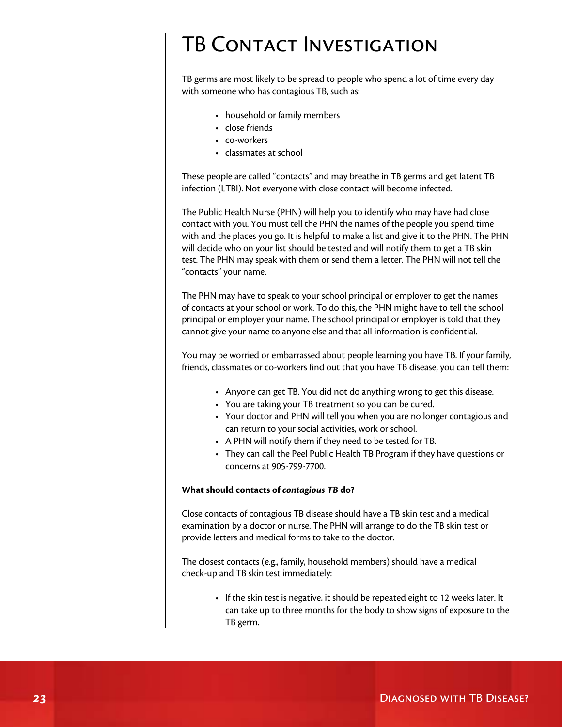## TB Contact Investigation

TB germs are most likely to be spread to people who spend a lot of time every day with someone who has contagious TB, such as:

- • household or family members
- close friends
- • co-workers
- • classmates at school

These people are called "contacts" and may breathe in TB germs and get latent TB infection (LTBI). Not everyone with close contact will become infected.

The Public Health Nurse (PHN) will help you to identify who may have had close contact with you. You must tell the PHN the names of the people you spend time with and the places you go. It is helpful to make a list and give it to the PHN. The PHN will decide who on your list should be tested and will notify them to get a TB skin test. The PHN may speak with them or send them a letter. The PHN will not tell the "contacts" your name.

The PHN may have to speak to your school principal or employer to get the names of contacts at your school or work. To do this, the PHN might have to tell the school principal or employer your name. The school principal or employer is told that they cannot give your name to anyone else and that all information is confidential.

You may be worried or embarrassed about people learning you have TB. If your family, friends, classmates or co-workers find out that you have TB disease, you can tell them:

- Anyone can get TB. You did not do anything wrong to get this disease.
- You are taking your TB treatment so you can be cured.
- Your doctor and PHN will tell you when you are no longer contagious and can return to your social activities, work or school.
- • A PHN will notify them if they need to be tested for TB.
- They can call the Peel Public Health TB Program if they have questions or concerns at 905-799-7700.

## **What should contacts of** *contagious TB* **do?**

Close contacts of contagious TB disease should have a TB skin test and a medical examination by a doctor or nurse. The PHN will arrange to do the TB skin test or provide letters and medical forms to take to the doctor.

The closest contacts (e.g., family, household members) should have a medical check-up and TB skin test immediately:

> • If the skin test is negative, it should be repeated eight to 12 weeks later. It can take up to three months for the body to show signs of exposure to the TB germ.